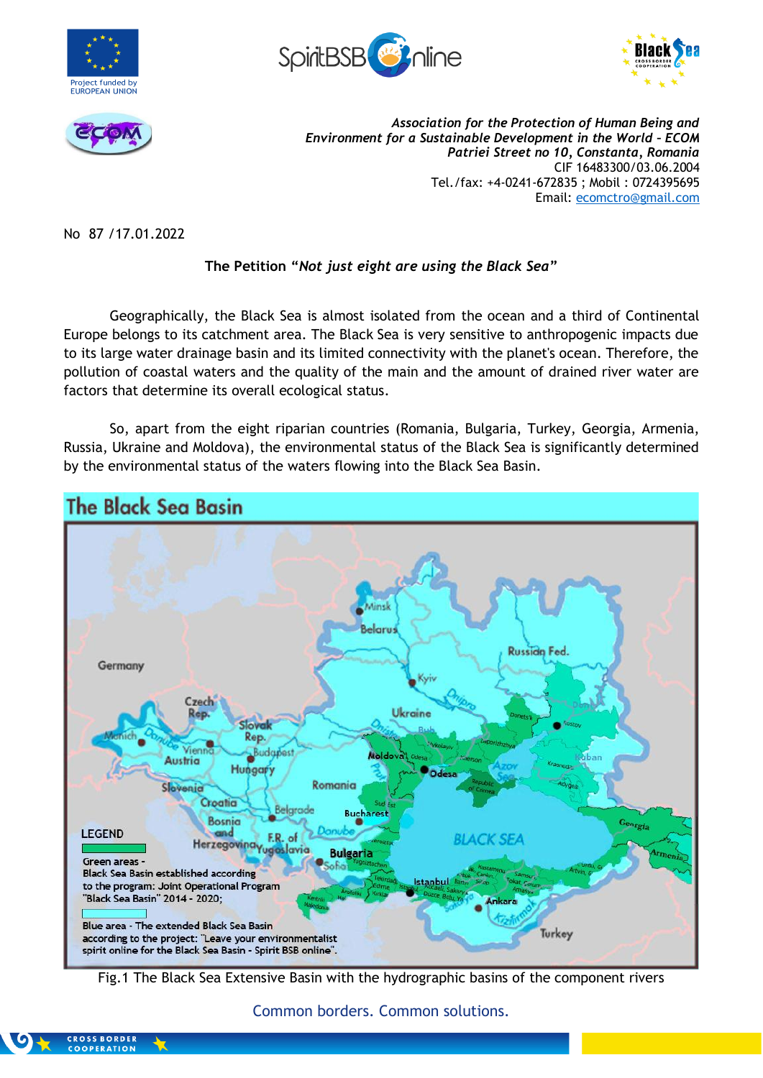







*Association for the Protection of Human Being and Environment for a Sustainable Development in the World – ECOM Patriei Street no 10, Constanta, Romania* CIF 16483300/03.06.2004 Tel./fax: +4-0241-672835 ; Mobil : 0724395695 Email: [ecomctro@gmail.com](mailto:ecomctro@gmail.com)

No 87 /17.01.2022

## **The Petition "***Not just eight are using the Black Sea***"**

Geographically, the Black Sea is almost isolated from the ocean and a third of Continental Europe belongs to its catchment area. The Black Sea is very sensitive to anthropogenic impacts due to its large water drainage basin and its limited connectivity with the planet's ocean. Therefore, the pollution of coastal waters and the quality of the main and the amount of drained river water are factors that determine its overall ecological status.

So, apart from the eight riparian countries (Romania, Bulgaria, Turkey, Georgia, Armenia, Russia, Ukraine and Moldova), the environmental status of the Black Sea is significantly determined by the environmental status of the waters flowing into the Black Sea Basin.



Fig.1 The Black Sea Extensive Basin with the hydrographic basins of the component rivers

Common borders. Common solutions.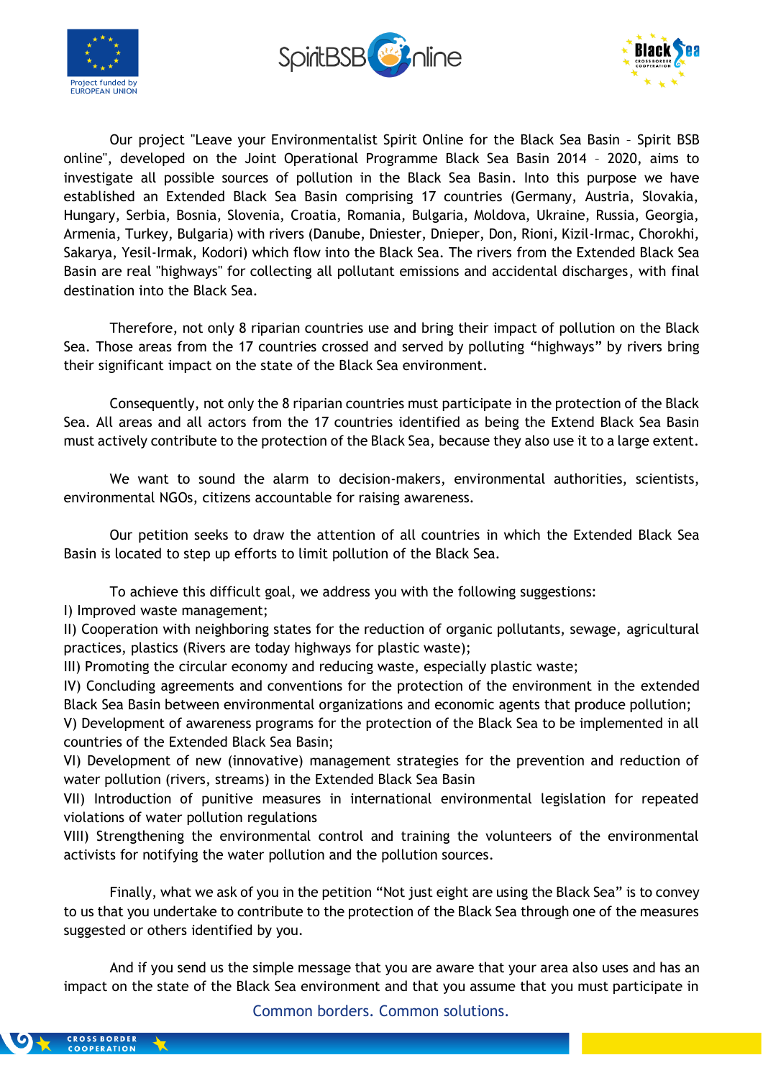





Our project "Leave your Environmentalist Spirit Online for the Black Sea Basin – Spirit BSB online", developed on the Joint Operational Programme Black Sea Basin 2014 – 2020, aims to investigate all possible sources of pollution in the Black Sea Basin. Into this purpose we have established an Extended Black Sea Basin comprising 17 countries (Germany, Austria, Slovakia, Hungary, Serbia, Bosnia, Slovenia, Croatia, Romania, Bulgaria, Moldova, Ukraine, Russia, Georgia, Armenia, Turkey, Bulgaria) with rivers (Danube, Dniester, Dnieper, Don, Rioni, Kizil-Irmac, Chorokhi, Sakarya, Yesil-Irmak, Kodori) which flow into the Black Sea. The rivers from the Extended Black Sea Basin are real "highways" for collecting all pollutant emissions and accidental discharges, with final destination into the Black Sea.

Therefore, not only 8 riparian countries use and bring their impact of pollution on the Black Sea. Those areas from the 17 countries crossed and served by polluting "highways" by rivers bring their significant impact on the state of the Black Sea environment.

Consequently, not only the 8 riparian countries must participate in the protection of the Black Sea. All areas and all actors from the 17 countries identified as being the Extend Black Sea Basin must actively contribute to the protection of the Black Sea, because they also use it to a large extent.

We want to sound the alarm to decision-makers, environmental authorities, scientists, environmental NGOs, citizens accountable for raising awareness.

Our petition seeks to draw the attention of all countries in which the Extended Black Sea Basin is located to step up efforts to limit pollution of the Black Sea.

To achieve this difficult goal, we address you with the following suggestions:

I) Improved waste management;

II) Cooperation with neighboring states for the reduction of organic pollutants, sewage, agricultural practices, plastics (Rivers are today highways for plastic waste);

III) Promoting the circular economy and reducing waste, especially plastic waste;

IV) Concluding agreements and conventions for the protection of the environment in the extended Black Sea Basin between environmental organizations and economic agents that produce pollution;

V) Development of awareness programs for the protection of the Black Sea to be implemented in all countries of the Extended Black Sea Basin;

VI) Development of new (innovative) management strategies for the prevention and reduction of water pollution (rivers, streams) in the Extended Black Sea Basin

VII) Introduction of punitive measures in international environmental legislation for repeated violations of water pollution regulations

VIII) Strengthening the environmental control and training the volunteers of the environmental activists for notifying the water pollution and the pollution sources.

Finally, what we ask of you in the petition "Not just eight are using the Black Sea" is to convey to us that you undertake to contribute to the protection of the Black Sea through one of the measures suggested or others identified by you.

And if you send us the simple message that you are aware that your area also uses and has an impact on the state of the Black Sea environment and that you assume that you must participate in

Common borders. Common solutions.